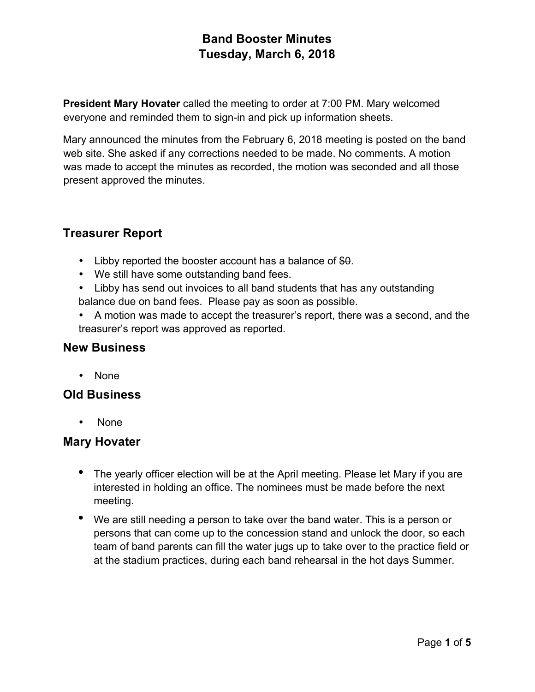**President Mary Hovater** called the meeting to order at 7:00 PM. Mary welcomed everyone and reminded them to sign-in and pick up information sheets.

Mary announced the minutes from the February 6, 2018 meeting is posted on the band web site. She asked if any corrections needed to be made. No comments. A motion was made to accept the minutes as recorded, the motion was seconded and all those present approved the minutes.

# **Treasurer Report**

- Libby reported the booster account has a balance of \$0.
- We still have some outstanding band fees.
- Libby has send out invoices to all band students that has any outstanding balance due on band fees. Please pay as soon as possible.
- A motion was made to accept the treasurer's report, there was a second, and the treasurer's report was approved as reported.

### **New Business**

• None

## **Old Business**

• None

### **Mary Hovater**

- The yearly officer election will be at the April meeting. Please let Mary if you are interested in holding an office. The nominees must be made before the next meeting.
- We are still needing a person to take over the band water. This is a person or persons that can come up to the concession stand and unlock the door, so each team of band parents can fill the water jugs up to take over to the practice field or at the stadium practices, during each band rehearsal in the hot days Summer.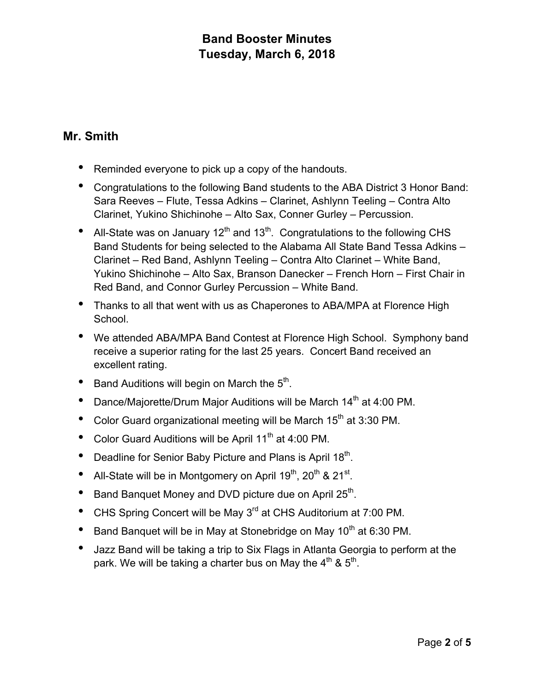# **Mr. Smith**

- Reminded everyone to pick up a copy of the handouts.
- Congratulations to the following Band students to the ABA District 3 Honor Band: Sara Reeves – Flute, Tessa Adkins – Clarinet, Ashlynn Teeling – Contra Alto Clarinet, Yukino Shichinohe – Alto Sax, Conner Gurley – Percussion.
- All-State was on January  $12<sup>th</sup>$  and  $13<sup>th</sup>$ . Congratulations to the following CHS Band Students for being selected to the Alabama All State Band Tessa Adkins – Clarinet – Red Band, Ashlynn Teeling – Contra Alto Clarinet – White Band, Yukino Shichinohe – Alto Sax, Branson Danecker – French Horn – First Chair in Red Band, and Connor Gurley Percussion – White Band.
- Thanks to all that went with us as Chaperones to ABA/MPA at Florence High School.
- We attended ABA/MPA Band Contest at Florence High School. Symphony band receive a superior rating for the last 25 years. Concert Band received an excellent rating.
- Band Auditions will begin on March the 5<sup>th</sup>.
- Dance/Majorette/Drum Major Auditions will be March 14<sup>th</sup> at 4:00 PM.
- Color Guard organizational meeting will be March  $15<sup>th</sup>$  at 3:30 PM.
- Color Guard Auditions will be April 11<sup>th</sup> at 4:00 PM.
- Deadline for Senior Baby Picture and Plans is April  $18<sup>th</sup>$ .
- All-State will be in Montgomery on April 19<sup>th</sup>, 20<sup>th</sup> & 21<sup>st</sup>.
- Band Banquet Money and DVD picture due on April 25<sup>th</sup>.
- CHS Spring Concert will be May 3rd at CHS Auditorium at 7:00 PM.
- Band Banquet will be in May at Stonebridge on May 10<sup>th</sup> at 6:30 PM.
- Jazz Band will be taking a trip to Six Flags in Atlanta Georgia to perform at the park. We will be taking a charter bus on May the  $4<sup>th</sup>$  &  $5<sup>th</sup>$ .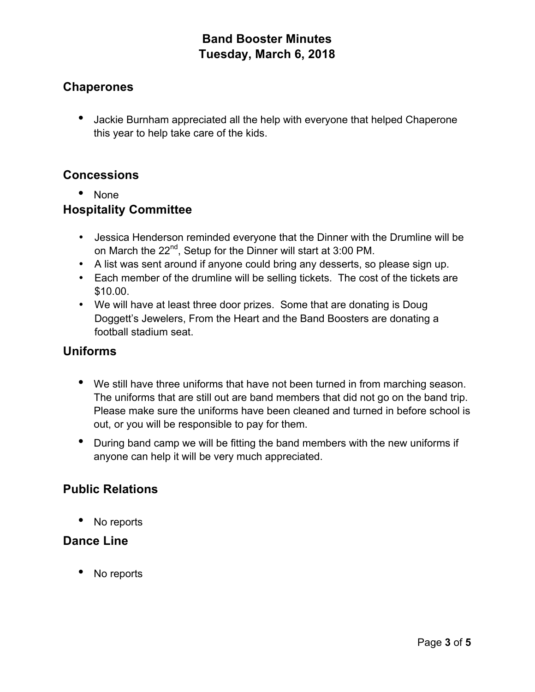## **Chaperones**

• Jackie Burnham appreciated all the help with everyone that helped Chaperone this year to help take care of the kids.

## **Concessions**

• None

## **Hospitality Committee**

- Jessica Henderson reminded everyone that the Dinner with the Drumline will be on March the 22<sup>nd</sup>, Setup for the Dinner will start at 3:00 PM.
- A list was sent around if anyone could bring any desserts, so please sign up.
- Each member of the drumline will be selling tickets. The cost of the tickets are \$10.00.
- We will have at least three door prizes. Some that are donating is Doug Doggett's Jewelers, From the Heart and the Band Boosters are donating a football stadium seat.

## **Uniforms**

- We still have three uniforms that have not been turned in from marching season. The uniforms that are still out are band members that did not go on the band trip. Please make sure the uniforms have been cleaned and turned in before school is out, or you will be responsible to pay for them.
- During band camp we will be fitting the band members with the new uniforms if anyone can help it will be very much appreciated.

# **Public Relations**

• No reports

### **Dance Line**

No reports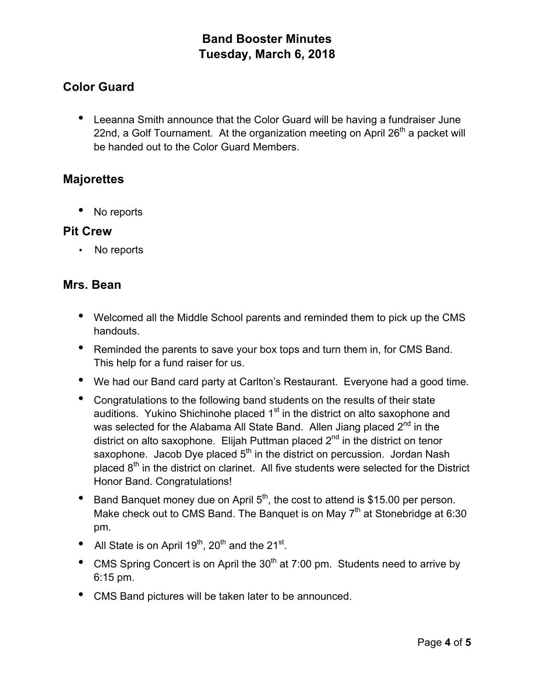# **Color Guard**

• Leeanna Smith announce that the Color Guard will be having a fundraiser June 22nd, a Golf Tournament. At the organization meeting on April  $26<sup>th</sup>$  a packet will be handed out to the Color Guard Members.

## **Majorettes**

• No reports

### **Pit Crew**

• No reports

### **Mrs. Bean**

- Welcomed all the Middle School parents and reminded them to pick up the CMS handouts.
- Reminded the parents to save your box tops and turn them in, for CMS Band. This help for a fund raiser for us.
- We had our Band card party at Carlton's Restaurant. Everyone had a good time.
- Congratulations to the following band students on the results of their state auditions. Yukino Shichinohe placed 1<sup>st</sup> in the district on alto saxophone and was selected for the Alabama All State Band. Allen Jiang placed  $2^{nd}$  in the district on alto saxophone. Elijah Puttman placed  $2<sup>nd</sup>$  in the district on tenor saxophone. Jacob Dye placed 5<sup>th</sup> in the district on percussion. Jordan Nash placed  $8<sup>th</sup>$  in the district on clarinet. All five students were selected for the District Honor Band. Congratulations!
- Band Banquet money due on April  $5<sup>th</sup>$ , the cost to attend is \$15.00 per person. Make check out to CMS Band. The Banquet is on May  $7<sup>th</sup>$  at Stonebridge at 6:30 pm.
- All State is on April  $19<sup>th</sup>$ ,  $20<sup>th</sup>$  and the  $21<sup>st</sup>$ .
- CMS Spring Concert is on April the  $30<sup>th</sup>$  at 7:00 pm. Students need to arrive by 6:15 pm.
- CMS Band pictures will be taken later to be announced.